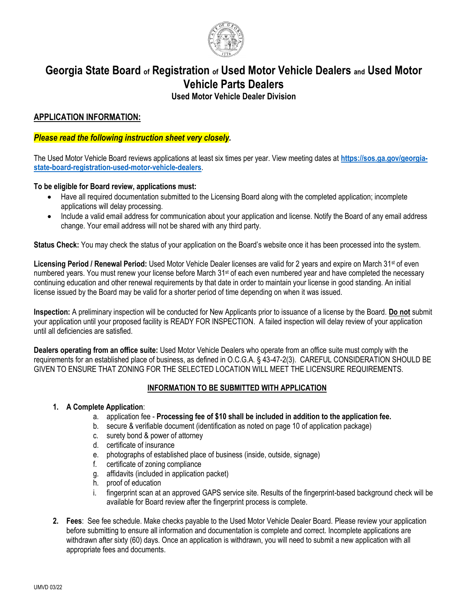

# **Georgia State Board of Registration of Used Motor Vehicle Dealers and Used Motor Vehicle Parts Dealers**

**Used Motor Vehicle Dealer Division**

## **APPLICATION INFORMATION:**

### *Please read the following instruction sheet very closely.*

The Used Motor Vehicle Board reviews applications at least six times per year. View meeting dates at **[https://sos.ga.gov/georgia](https://sos.ga.gov/georgia-state-board-registration-used-motor-vehicle-dealers)[state-board-registration-used-motor-vehicle-dealers](https://sos.ga.gov/georgia-state-board-registration-used-motor-vehicle-dealers)**.

#### **To be eligible for Board review, applications must:**

- Have all required documentation submitted to the Licensing Board along with the completed application; incomplete applications will delay processing.
- Include a valid email address for communication about your application and license. Notify the Board of any email address change. Your email address will not be shared with any third party.

**Status Check:** You may check the status of your application on the Board's website once it has been processed into the system.

**Licensing Period / Renewal Period:** Used Motor Vehicle Dealer licenses are valid for 2 years and expire on March 31st of even numbered years. You must renew your license before March 31<sup>st</sup> of each even numbered year and have completed the necessary continuing education and other renewal requirements by that date in order to maintain your license in good standing. An initial license issued by the Board may be valid for a shorter period of time depending on when it was issued.

**Inspection:** A preliminary inspection will be conducted for New Applicants prior to issuance of a license by the Board. **Do not** submit your application until your proposed facility is READY FOR INSPECTION. A failed inspection will delay review of your application until all deficiencies are satisfied.

**Dealers operating from an office suite:** Used Motor Vehicle Dealers who operate from an office suite must comply with the requirements for an established place of business, as defined in O.C.G.A. § 43-47-2(3). CAREFUL CONSIDERATION SHOULD BE GIVEN TO ENSURE THAT ZONING FOR THE SELECTED LOCATION WILL MEET THE LICENSURE REQUIREMENTS.

### **INFORMATION TO BE SUBMITTED WITH APPLICATION**

#### **1. A Complete Application**:

- a. application fee **Processing fee of \$10 shall be included in addition to the application fee.**
- b. secure & verifiable document (identification as noted on page 10 of application package)
- c. surety bond & power of attorney
- d. certificate of insurance
- e. photographs of established place of business (inside, outside, signage)
- f. certificate of zoning compliance
- g. affidavits (included in application packet)
- h. proof of education
- i. fingerprint scan at an approved GAPS service site. Results of the fingerprint-based background check will be available for Board review after the fingerprint process is complete.
- **2. Fees**: See fee schedule. Make checks payable to the Used Motor Vehicle Dealer Board. Please review your application before submitting to ensure all information and documentation is complete and correct. Incomplete applications are withdrawn after sixty (60) days. Once an application is withdrawn, you will need to submit a new application with all appropriate fees and documents.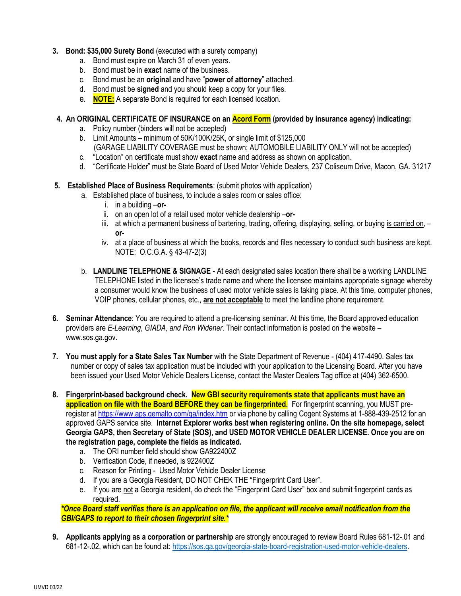#### **3. Bond: \$35,000 Surety Bond** (executed with a surety company)

- a. Bond must expire on March 31 of even years.
- b. Bond must be in **exact** name of the business.
- c. Bond must be an **original** and have "**power of attorney**" attached.
- d. Bond must be **signed** and you should keep a copy for your files.
- e. **NOTE:** A separate Bond is required for each licensed location.

### **4. An ORIGINAL CERTIFICATE OF INSURANCE on an Acord Form (provided by insurance agency) indicating:**

- a. Policy number (binders will not be accepted)
- b. Limit Amounts minimum of 50K/100K/25K, or single limit of \$125,000
	- (GARAGE LIABILITY COVERAGE must be shown; AUTOMOBILE LIABILITY ONLY will not be accepted)
- c. "Location" on certificate must show **exact** name and address as shown on application.
- d. "Certificate Holder" must be State Board of Used Motor Vehicle Dealers, 237 Coliseum Drive, Macon, GA. 31217
- **5. Established Place of Business Requirements**: (submit photos with application)
	- a. Established place of business, to include a sales room or sales office:
		- i. in a building –**or-**
		- ii. on an open lot of a retail used motor vehicle dealership –**or-**
		- iii. at which a permanent business of bartering, trading, offering, displaying, selling, or buying is carried on, **or-**
		- iv. at a place of business at which the books, records and files necessary to conduct such business are kept. NOTE: O.C.G.A. § 43-47-2(3)
	- b. **LANDLINE TELEPHONE & SIGNAGE -** At each designated sales location there shall be a working LANDLINE TELEPHONE listed in the licensee's trade name and where the licensee maintains appropriate signage whereby a consumer would know the business of used motor vehicle sales is taking place. At this time, computer phones, VOIP phones, cellular phones, etc., **are not acceptable** to meet the landline phone requirement.
- **6. Seminar Attendance**: You are required to attend a pre-licensing seminar. At this time, the Board approved education providers are *E-Learning*, *GIADA, and Ron Widener*. Their contact information is posted on the website – www.sos.ga.gov.
- **7. You must apply for a State Sales Tax Number** with the State Department of Revenue (404) 417-4490. Sales tax number or copy of sales tax application must be included with your application to the Licensing Board. After you have been issued your Used Motor Vehicle Dealers License, contact the Master Dealers Tag office at (404) 362-6500.
- **8. Fingerprint-based background check. New GBI security requirements state that applicants must have an application on file with the Board BEFORE they can be fingerprinted.** For fingerprint scanning, you MUST preregister at<https://www.aps.gemalto.com/ga/index.htm> or via phone by calling Cogent Systems at 1-888-439-2512 for an approved GAPS service site. **Internet Explorer works best when registering online. On the site homepage, select Georgia GAPS, then Secretary of State (SOS), and USED MOTOR VEHICLE DEALER LICENSE. Once you are on the registration page, complete the fields as indicated.**
	- a. The ORI number field should show GA922400Z
	- b. Verification Code, if needed, is 922400Z
	- c. Reason for Printing Used Motor Vehicle Dealer License
	- d. If you are a Georgia Resident, DO NOT CHEK THE "Fingerprint Card User".
	- e. If you are not a Georgia resident, do check the "Fingerprint Card User" box and submit fingerprint cards as required.

*\*Once Board staff verifies there is an application on file, the applicant will receive email notification from the GBI/GAPS to report to their chosen fingerprint site.\**

**9. Applicants applying as a corporation or partnership** are strongly encouraged to review Board Rules 681-12-.01 and 681-12-.02, which can be found at: [https://sos.ga.gov/georgia-state-board-registration-used-motor-vehicle-dealers.](https://sos.ga.gov/georgia-state-board-registration-used-motor-vehicle-dealers)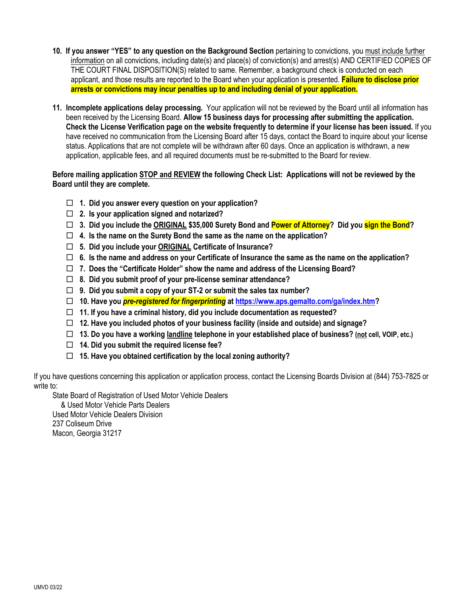- **10. If you answer "YES" to any question on the Background Section** pertaining to convictions, you must include further information on all convictions, including date(s) and place(s) of conviction(s) and arrest(s) AND CERTIFIED COPIES OF THE COURT FINAL DISPOSITION(S) related to same. Remember, a background check is conducted on each applicant, and those results are reported to the Board when your application is presented. **Failure to disclose prior arrests or convictions may incur penalties up to and including denial of your application.**
- **11. Incomplete applications delay processing.** Your application will not be reviewed by the Board until all information has been received by the Licensing Board. **Allow 15 business days for processing after submitting the application. Check the License Verification page on the website frequently to determine if your license has been issued.** If you have received no communication from the Licensing Board after 15 days, contact the Board to inquire about your license status. Applications that are not complete will be withdrawn after 60 days. Once an application is withdrawn, a new application, applicable fees, and all required documents must be re-submitted to the Board for review.

#### **Before mailing application STOP and REVIEW the following Check List: Applications will not be reviewed by the Board until they are complete.**

- **1. Did you answer every question on your application?**
- **2. Is your application signed and notarized?**
- **3. Did you include the ORIGINAL \$35,000 Surety Bond and Power of Attorney? Did you sign the Bond?**
- **4. Is the name on the Surety Bond the same as the name on the application?**
- **5. Did you include your ORIGINAL Certificate of Insurance?**
- **6. Is the name and address on your Certificate of Insurance the same as the name on the application?**
- **7. Does the "Certificate Holder" show the name and address of the Licensing Board?**
- **8. Did you submit proof of your pre-license seminar attendance?**
- **9. Did you submit a copy of your ST-2 or submit the sales tax number?**
- **10. Have you** *pre-registered for fingerprinting* **at [https://www.aps.gemalto.com/ga/index.htm?](https://www.aps.gemalto.com/ga/index.htm)**
- **11. If you have a criminal history, did you include documentation as requested?**
- **12. Have you included photos of your business facility (inside and outside) and signage?**
- **13. Do you have a working landline telephone in your established place of business? (not cell, VOIP, etc.)**
- **14. Did you submit the required license fee?**
- **15. Have you obtained certification by the local zoning authority?**

If you have questions concerning this application or application process, contact the Licensing Boards Division at (844) 753-7825 or write to:

State Board of Registration of Used Motor Vehicle Dealers

& Used Motor Vehicle Parts Dealers Used Motor Vehicle Dealers Division 237 Coliseum Drive Macon, Georgia 31217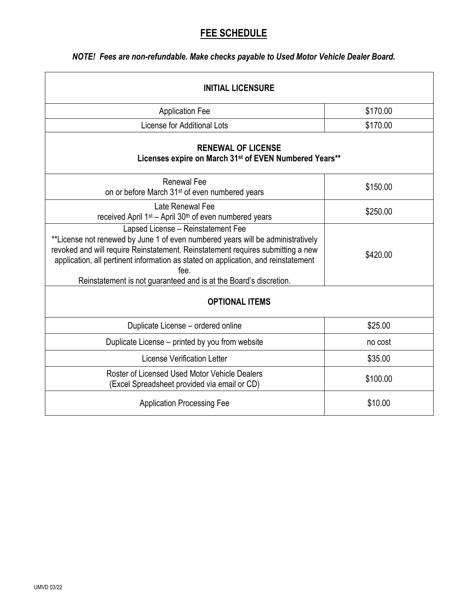# **FEE SCHEDULE**

## *NOTE! Fees are non-refundable. Make checks payable to Used Motor Vehicle Dealer Board.*

| <b>INITIAL LICENSURE</b>                                                                                                                                                                                                                                                                                                                                                    |          |  |  |  |
|-----------------------------------------------------------------------------------------------------------------------------------------------------------------------------------------------------------------------------------------------------------------------------------------------------------------------------------------------------------------------------|----------|--|--|--|
| <b>Application Fee</b>                                                                                                                                                                                                                                                                                                                                                      | \$170.00 |  |  |  |
| <b>License for Additional Lots</b>                                                                                                                                                                                                                                                                                                                                          | \$170.00 |  |  |  |
| <b>RENEWAL OF LICENSE</b><br>Licenses expire on March 31st of EVEN Numbered Years**                                                                                                                                                                                                                                                                                         |          |  |  |  |
| <b>Renewal Fee</b><br>on or before March 31 <sup>st</sup> of even numbered years                                                                                                                                                                                                                                                                                            | \$150.00 |  |  |  |
| Late Renewal Fee<br>received April 1 <sup>st</sup> – April 30 <sup>th</sup> of even numbered years                                                                                                                                                                                                                                                                          | \$250.00 |  |  |  |
| Lapsed License - Reinstatement Fee<br>**License not renewed by June 1 of even numbered years will be administratively<br>revoked and will require Reinstatement. Reinstatement requires submitting a new<br>application, all pertinent information as stated on application, and reinstatement<br>fee.<br>Reinstatement is not guaranteed and is at the Board's discretion. | \$420.00 |  |  |  |
| <b>OPTIONAL ITEMS</b>                                                                                                                                                                                                                                                                                                                                                       |          |  |  |  |
| Duplicate License - ordered online                                                                                                                                                                                                                                                                                                                                          | \$25.00  |  |  |  |
| Duplicate License – printed by you from website                                                                                                                                                                                                                                                                                                                             | no cost  |  |  |  |
| License Verification Letter                                                                                                                                                                                                                                                                                                                                                 | \$35.00  |  |  |  |
| Roster of Licensed Used Motor Vehicle Dealers<br>(Excel Spreadsheet provided via email or CD)                                                                                                                                                                                                                                                                               | \$100.00 |  |  |  |
| <b>Application Processing Fee</b>                                                                                                                                                                                                                                                                                                                                           | \$10.00  |  |  |  |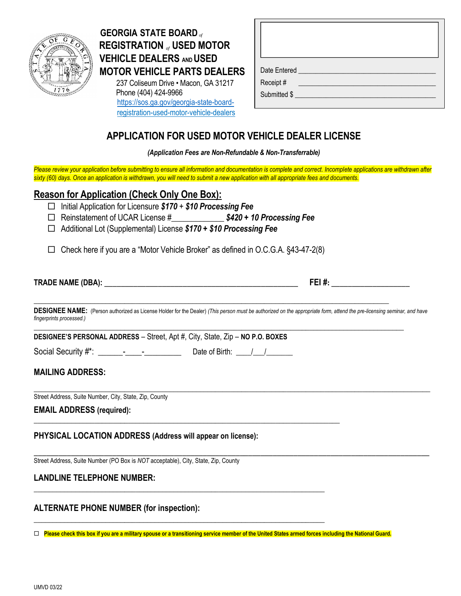

# **GEORGIA STATE BOARD***of*  **REGISTRATION** *of* **USED MOTOR VEHICLE DEALERS AND USED MOTOR VEHICLE PARTS DEALERS**

237 Coliseum Drive • Macon, GA 31217 Phone (404) 424-9966 [https://sos.ga.gov/georgia-state-board](https://sos.ga.gov/georgia-state-board-registration-used-motor-vehicle-dealers) registration-used-motor-vehicle-dealers

# **APPLICATION FOR USED MOTOR VEHICLE DEALER LICENSE**

*(Application Fees are Non-Refundable & Non-Transferrable)*

Please review your application before submitting to ensure all information and documentation is complete and correct. Incomplete applications are withdrawn after sixty (60) days. Once an application is withdrawn, you will need to submit a new application with all appropriate fees and documents.

## **Reason for Application (Check Only One Box):**

- Initial Application for Licensure *\$170* + *\$10 Processing Fee*
- Reinstatement of UCAR License #\_\_\_\_\_\_\_\_\_\_\_\_\_ *\$420 + 10 Processing Fee*
- Additional Lot (Supplemental) License *\$170 + \$10 Processing Fee*  $\textcolor{red}{\textbf{tree}}$

 $\Box$  Check here if you are a "Motor Vehicle Broker" as defined in O.C.G.A. §43-47-2(8) Date Issued \_\_\_\_\_\_\_\_\_\_\_\_\_\_\_\_\_\_\_\_\_\_\_\_\_\_\_\_\_\_\_\_\_\_\_

\_\_\_\_\_\_\_\_\_\_\_\_\_\_\_\_\_\_\_\_\_\_\_\_\_\_\_\_\_\_\_\_\_\_\_\_\_\_\_\_\_\_\_\_\_\_\_\_\_\_\_\_\_\_\_\_\_\_\_\_\_\_\_\_\_\_\_\_\_\_\_\_\_\_\_\_\_\_\_\_\_

\_\_\_\_\_\_\_\_\_\_\_\_\_\_\_\_\_\_\_\_\_\_\_\_\_\_\_\_\_\_\_\_\_\_\_\_\_\_\_\_\_\_\_\_\_\_\_\_\_\_\_\_\_\_\_\_\_\_\_\_\_\_\_\_\_\_\_\_\_\_\_\_\_\_\_\_\_

**\_\_\_\_\_\_\_\_\_\_\_\_\_\_\_\_\_\_\_\_\_\_\_\_\_\_\_\_\_\_\_\_\_\_\_\_\_\_\_\_\_\_\_\_\_\_\_\_\_\_\_\_\_\_\_\_\_\_\_\_\_\_\_\_\_\_\_\_\_\_\_\_\_\_\_\_\_**

| <b>TRADE NAME (DBA)</b> | --<br>11 |
|-------------------------|----------|
|                         |          |

**DESIGNEE NAME:** (Person authorized as License Holder for the Dealer) *(This person must be authorized on the appropriate form, attend the pre-licensing seminar, and have fingerprints processed.)* **\_\_\_\_\_\_\_\_\_\_\_\_\_\_\_\_\_\_\_\_\_\_\_\_\_\_\_\_\_\_\_\_\_\_\_\_\_\_\_\_\_\_\_\_\_\_\_\_\_\_\_\_\_\_\_\_\_\_\_\_\_\_\_\_\_\_\_\_\_\_\_\_\_\_\_\_\_\_\_\_\_\_\_\_\_\_\_\_\_\_\_\_\_\_\_\_\_\_**

\_\_\_\_\_\_\_\_\_\_\_\_\_\_\_\_\_\_\_\_\_\_\_\_\_\_\_\_\_\_\_\_\_\_\_\_\_\_\_\_\_\_\_\_\_\_\_\_\_\_\_\_\_\_\_\_\_\_\_\_\_\_\_\_\_\_\_\_\_\_\_\_\_\_\_\_\_\_\_\_\_\_\_\_\_\_\_\_\_\_\_\_\_\_\_\_

**\_\_\_\_\_\_\_\_\_\_\_\_\_\_\_\_\_\_\_\_\_\_\_\_\_\_\_\_\_\_\_\_\_\_\_\_\_\_\_\_\_\_\_\_\_\_\_\_\_\_\_\_\_\_\_\_\_\_\_\_\_\_\_\_\_\_\_\_\_\_\_\_\_\_\_\_\_\_\_\_\_\_\_\_\_\_\_\_\_\_\_\_\_\_**

**DESIGNEE'S PERSONAL ADDRESS** – Street, Apt #, City, State, Zip – **NO P.O. BOXES**

| Social Security #*: |  |  | Date of Birth: |  |
|---------------------|--|--|----------------|--|
|                     |  |  |                |  |

## **MAILING ADDRESS:**

\_\_\_\_\_\_\_\_\_\_\_\_\_\_\_\_\_\_\_\_\_\_\_\_\_\_\_\_\_\_\_\_\_\_\_\_\_\_\_\_\_\_\_\_\_\_\_\_\_\_\_\_\_\_\_\_\_\_\_\_\_\_\_\_\_\_\_\_\_\_\_\_\_\_\_\_\_\_\_\_\_\_\_\_\_\_\_\_\_\_\_\_\_\_\_\_\_\_\_\_\_\_\_\_\_ Street Address, Suite Number, City, State, Zip, County

### **EMAIL ADDRESS (required):**

**PHYSICAL LOCATION ADDRESS (Address will appear on license):**

Street Address, Suite Number (PO Box is *NOT* acceptable), City, State, Zip, County

## **LANDLINE TELEPHONE NUMBER:**

## **ALTERNATE PHONE NUMBER (for inspection):**

**Please check this box if you are a military spouse or a transitioning service member of the United States armed forces including the National Guard.**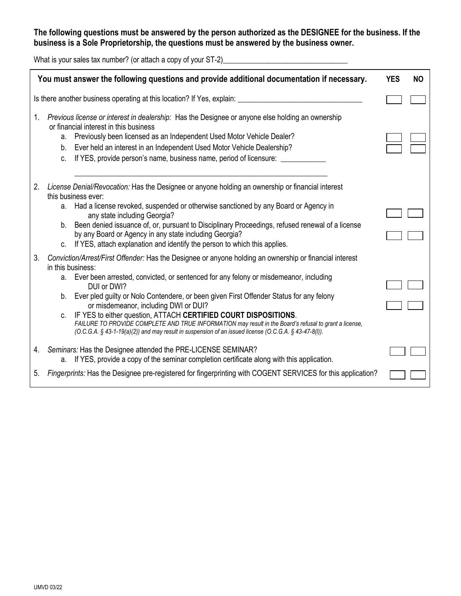## **The following questions must be answered by the person authorized as the DESIGNEE for the business. If the business is a Sole Proprietorship, the questions must be answered by the business owner.**

What is your sales tax number? (or attach a copy of your ST-2)\_\_\_\_\_\_\_\_\_\_\_\_\_\_\_\_\_\_\_\_\_\_\_\_\_\_\_\_\_\_\_\_\_

|    | You must answer the following questions and provide additional documentation if necessary.                                                                                                                                                                                                                                                                                                                                                                                                                                                                                                                                                                             | <b>YES</b><br><b>NO</b> |
|----|------------------------------------------------------------------------------------------------------------------------------------------------------------------------------------------------------------------------------------------------------------------------------------------------------------------------------------------------------------------------------------------------------------------------------------------------------------------------------------------------------------------------------------------------------------------------------------------------------------------------------------------------------------------------|-------------------------|
|    | Is there another business operating at this location? If Yes, explain:                                                                                                                                                                                                                                                                                                                                                                                                                                                                                                                                                                                                 |                         |
| 1. | Previous license or interest in dealership: Has the Designee or anyone else holding an ownership<br>or financial interest in this business<br>Previously been licensed as an Independent Used Motor Vehicle Dealer?<br>a.<br>Ever held an interest in an Independent Used Motor Vehicle Dealership?<br>b.<br>If YES, provide person's name, business name, period of licensure: ____<br>C.                                                                                                                                                                                                                                                                             |                         |
| 2. | License Denial/Revocation: Has the Designee or anyone holding an ownership or financial interest<br>this business ever:<br>a. Had a license revoked, suspended or otherwise sanctioned by any Board or Agency in<br>any state including Georgia?<br>Been denied issuance of, or, pursuant to Disciplinary Proceedings, refused renewal of a license<br>b.<br>by any Board or Agency in any state including Georgia?<br>If YES, attach explanation and identify the person to which this applies.<br>$C_{1}$                                                                                                                                                            |                         |
| 3. | Conviction/Arrest/First Offender: Has the Designee or anyone holding an ownership or financial interest<br>in this business:<br>a. Ever been arrested, convicted, or sentenced for any felony or misdemeanor, including<br>DUI or DWI?<br>Ever pled guilty or Nolo Contendere, or been given First Offender Status for any felony<br>b.<br>or misdemeanor, including DWI or DUI?<br>IF YES to either question, ATTACH CERTIFIED COURT DISPOSITIONS.<br>FAILURE TO PROVIDE COMPLETE AND TRUE INFORMATION may result in the Board's refusal to grant a license,<br>(O.C.G.A. § 43-1-19(a)(2)) and may result in suspension of an issued license (O.C.G.A. § 43-47-8(l)). |                         |
| 4. | Seminars: Has the Designee attended the PRE-LICENSE SEMINAR?<br>If YES, provide a copy of the seminar completion certificate along with this application.<br>a.                                                                                                                                                                                                                                                                                                                                                                                                                                                                                                        |                         |
| 5. | Fingerprints: Has the Designee pre-registered for fingerprinting with COGENT SERVICES for this application?                                                                                                                                                                                                                                                                                                                                                                                                                                                                                                                                                            |                         |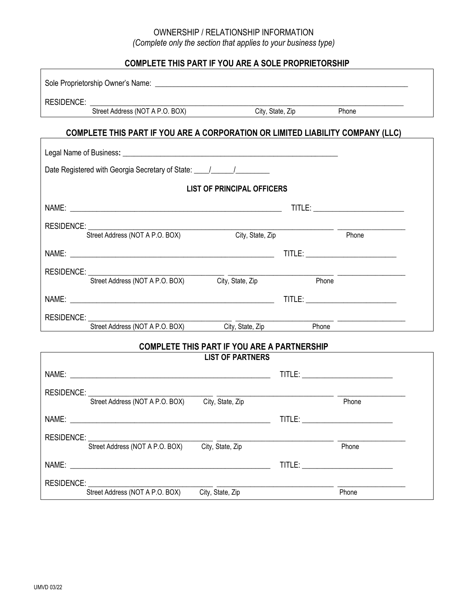## OWNERSHIP / RELATIONSHIP INFORMATION *(Complete only the section that applies to your business type)*

## **COMPLETE THIS PART IF YOU ARE A SOLE PROPRIETORSHIP**

| Street Address (NOT A P.O. BOX) City, State, Zip<br>Phone                                                                             |  |
|---------------------------------------------------------------------------------------------------------------------------------------|--|
| COMPLETE THIS PART IF YOU ARE A CORPORATION OR LIMITED LIABILITY COMPANY (LLC)                                                        |  |
|                                                                                                                                       |  |
|                                                                                                                                       |  |
| Date Registered with Georgia Secretary of State: \[\state_\industancel Property Contact Property Contact Proper                       |  |
| <b>LIST OF PRINCIPAL OFFICERS</b>                                                                                                     |  |
|                                                                                                                                       |  |
|                                                                                                                                       |  |
| <b>RESIDENCE:</b><br>Street Address (NOT A P.O. BOX)<br>City, State, Zip<br>Phone                                                     |  |
|                                                                                                                                       |  |
|                                                                                                                                       |  |
| RESIDENCE:<br>Street Address (NOT A P.O. BOX) City, State, Zip<br>Phone                                                               |  |
|                                                                                                                                       |  |
|                                                                                                                                       |  |
| Street Address (NOT A P.O. BOX) City, State, Zip Phone                                                                                |  |
|                                                                                                                                       |  |
| <b>COMPLETE THIS PART IF YOU ARE A PARTNERSHIP</b><br><b>LIST OF PARTNERS</b>                                                         |  |
|                                                                                                                                       |  |
|                                                                                                                                       |  |
| Street Address (NOT A P.O. BOX) City, State, Zip<br>Phone                                                                             |  |
| NAME: 2008.000 PM 2008.000 PM 2009.000 PM 2009.000 PM 2009.000 PM 2009.000 PM 2009.000 PM 2009.000 PM 2009.00<br><b>TITLE:</b> TITLE: |  |
|                                                                                                                                       |  |
| RESIDENCE:<br>Street Address (NOT A P.O. BOX) City, State, Zip<br>Phone                                                               |  |
| TITLE: THE STATE OF THE STATE OF THE STATE OF THE STATE OF THE STATE OF THE STATE OF THE STATE OF THE STATE OF                        |  |
|                                                                                                                                       |  |
| <b>RESIDENCE:</b><br>City, State, Zip<br>Street Address (NOT A P.O. BOX)<br>Phone                                                     |  |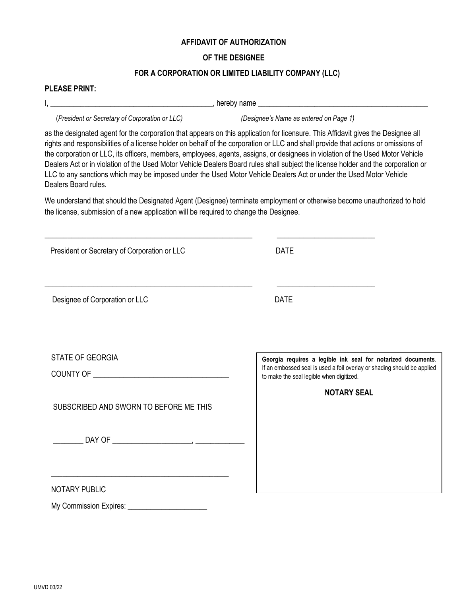#### **AFFIDAVIT OF AUTHORIZATION**

#### **OF THE DESIGNEE**

#### **FOR A CORPORATION OR LIMITED LIABILITY COMPANY (LLC)**

#### **PLEASE PRINT:**

I, **\_\_\_\_\_\_\_\_\_\_\_\_\_\_\_\_\_\_\_\_\_\_\_\_\_\_\_\_\_\_\_\_\_\_\_\_\_\_\_\_\_\_\_**, hereby name **\_\_\_\_\_\_\_\_\_\_\_\_\_\_\_\_\_\_\_\_\_\_\_\_\_\_\_\_\_\_\_\_\_\_\_\_\_\_\_\_\_\_\_\_\_**

(*President or Secretary of Corporation or LLC) (Designee's Name as entered on Page 1)*

as the designated agent for the corporation that appears on this application for licensure. This Affidavit gives the Designee all rights and responsibilities of a license holder on behalf of the corporation or LLC and shall provide that actions or omissions of the corporation or LLC, its officers, members, employees, agents, assigns, or designees in violation of the Used Motor Vehicle Dealers Act or in violation of the Used Motor Vehicle Dealers Board rules shall subject the license holder and the corporation or LLC to any sanctions which may be imposed under the Used Motor Vehicle Dealers Act or under the Used Motor Vehicle Dealers Board rules.

We understand that should the Designated Agent (Designee) terminate employment or otherwise become unauthorized to hold the license, submission of a new application will be required to change the Designee.

| President or Secretary of Corporation or LLC | <b>DATE</b>                                                                                                         |
|----------------------------------------------|---------------------------------------------------------------------------------------------------------------------|
|                                              |                                                                                                                     |
| Designee of Corporation or LLC               | <b>DATE</b>                                                                                                         |
|                                              |                                                                                                                     |
|                                              |                                                                                                                     |
| <b>STATE OF GEORGIA</b>                      | Georgia requires a legible ink seal for notarized documents.                                                        |
|                                              | If an embossed seal is used a foil overlay or shading should be applied<br>to make the seal legible when digitized. |
|                                              | <b>NOTARY SEAL</b>                                                                                                  |
| SUBSCRIBED AND SWORN TO BEFORE ME THIS       |                                                                                                                     |
|                                              |                                                                                                                     |
|                                              |                                                                                                                     |
|                                              |                                                                                                                     |
|                                              |                                                                                                                     |
| <b>NOTARY PUBLIC</b>                         |                                                                                                                     |

My Commission Expires: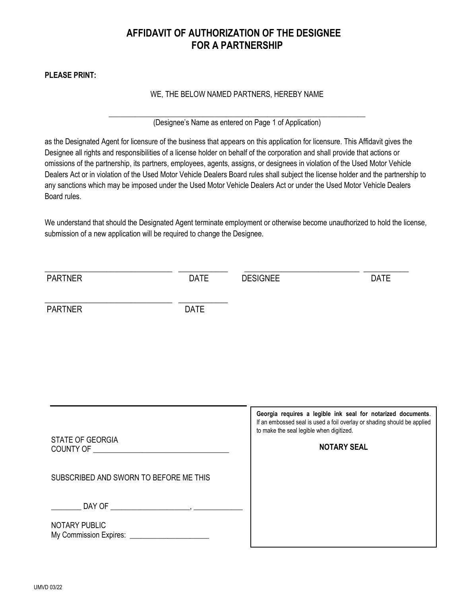## **AFFIDAVIT OF AUTHORIZATION OF THE DESIGNEE FOR A PARTNERSHIP**

**PLEASE PRINT:** 

#### WE, THE BELOW NAMED PARTNERS, HEREBY NAME

\_\_\_\_\_\_\_\_\_\_\_\_\_\_\_\_\_\_\_\_\_\_\_\_\_\_\_\_\_\_\_\_\_\_\_\_\_\_\_\_\_\_\_\_\_\_\_\_\_\_\_\_\_\_\_\_\_\_\_\_\_\_\_\_\_\_\_\_ (Designee's Name as entered on Page 1 of Application)

as the Designated Agent for licensure of the business that appears on this application for licensure. This Affidavit gives the Designee all rights and responsibilities of a license holder on behalf of the corporation and shall provide that actions or omissions of the partnership, its partners, employees, agents, assigns, or designees in violation of the Used Motor Vehicle Dealers Act or in violation of the Used Motor Vehicle Dealers Board rules shall subject the license holder and the partnership to any sanctions which may be imposed under the Used Motor Vehicle Dealers Act or under the Used Motor Vehicle Dealers Board rules.

We understand that should the Designated Agent terminate employment or otherwise become unauthorized to hold the license, submission of a new application will be required to change the Designee.

| <b>PARTNER</b>                         | <b>DATE</b> | <b>DESIGNEE</b>                                                                                                                                                                                           | <b>DATE</b> |
|----------------------------------------|-------------|-----------------------------------------------------------------------------------------------------------------------------------------------------------------------------------------------------------|-------------|
| <b>PARTNER</b>                         | <b>DATE</b> |                                                                                                                                                                                                           |             |
| <b>STATE OF GEORGIA</b>                |             | Georgia requires a legible ink seal for notarized documents.<br>If an embossed seal is used a foil overlay or shading should be applied<br>to make the seal legible when digitized.<br><b>NOTARY SEAL</b> |             |
| SUBSCRIBED AND SWORN TO BEFORE ME THIS |             |                                                                                                                                                                                                           |             |
| NOTARY PUBLIC                          |             |                                                                                                                                                                                                           |             |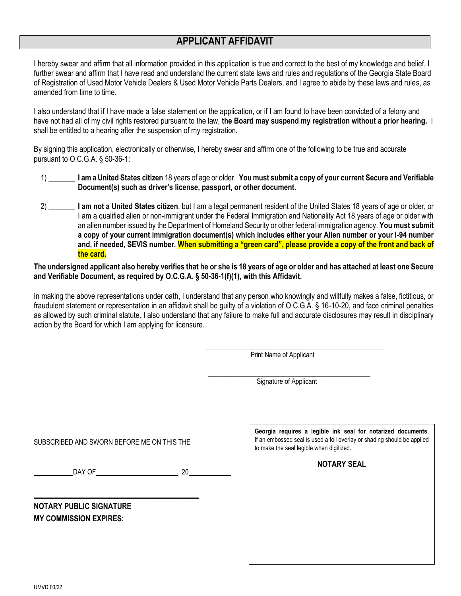# **APPLICANT AFFIDAVIT APPLICANT AFFIDAVIT**

I hereby swear and affirm that all information provided in this application is true and correct to the best of my knowledge and belief. I further swear and affirm that I have read and understand the current state laws and rules and regulations of the Georgia State Board of Registration of Used Motor Vehicle Dealers & Used Motor Vehicle Parts Dealers, and I agree to abide by these laws and rules, as amended from time to time.

I also understand that if I have made a false statement on the application, or if I am found to have been convicted of a felony and have not had all of my civil rights restored pursuant to the law, **the Board may suspend my registration without a prior hearing.** I shall be entitled to a hearing after the suspension of my registration.

By signing this application, electronically or otherwise, I hereby swear and affirm one of the following to be true and accurate pursuant to O.C.G.A. § 50-36-1:

- 1) \_\_\_\_\_\_\_ **I am a United States citizen** 18 years of age or older. **You must submit a copy of your current Secure and Verifiable Document(s) such as driver's license, passport, or other document.**
- 2) \_\_\_\_\_\_\_ **I am not a United States citizen**, but I am a legal permanent resident of the United States 18 years of age or older, or I am a qualified alien or non-immigrant under the Federal Immigration and Nationality Act 18 years of age or older with an alien number issued by the Department of Homeland Security or other federal immigration agency. **You must submit a copy of your current immigration document(s) which includes either your Alien number or your I-94 number and, if needed, SEVIS number. When submitting a "green card", please provide a copy of the front and back of the card.**

#### **The undersigned applicant also hereby verifies that he or she is 18 years of age or older and has attached at least one Secure and Verifiable Document, as required by O.C.G.A. § 50-36-1(f)(1), with this Affidavit.**

In making the above representations under oath, I understand that any person who knowingly and willfully makes a false, fictitious, or fraudulent statement or representation in an affidavit shall be guilty of a violation of O.C.G.A. § 16-10-20, and face criminal penalties as allowed by such criminal statute. I also understand that any failure to make full and accurate disclosures may result in disciplinary action by the Board for which I am applying for licensure.

Print Name of Applicant

 $\frac{1}{\sqrt{2}}$  ,  $\frac{1}{\sqrt{2}}$  ,  $\frac{1}{\sqrt{2}}$  ,  $\frac{1}{\sqrt{2}}$  ,  $\frac{1}{\sqrt{2}}$  ,  $\frac{1}{\sqrt{2}}$  ,  $\frac{1}{\sqrt{2}}$  ,  $\frac{1}{\sqrt{2}}$  ,  $\frac{1}{\sqrt{2}}$  ,  $\frac{1}{\sqrt{2}}$  ,  $\frac{1}{\sqrt{2}}$  ,  $\frac{1}{\sqrt{2}}$  ,  $\frac{1}{\sqrt{2}}$  ,  $\frac{1}{\sqrt{2}}$  ,  $\frac{1}{\sqrt{2}}$ Signature of Applicant

SUBSCRIBED AND SWORN BEFORE ME ON THIS THE

 $DAY$  OF  $20$ 

\_\_\_\_\_\_\_\_\_\_\_\_\_\_\_\_\_\_\_\_\_\_\_\_\_\_\_\_\_\_\_\_\_\_\_\_\_\_\_\_\_\_\_\_\_\_\_\_

**NOTARY PUBLIC SIGNATURE MY COMMISSION EXPIRES:**

**Georgia requires a legible ink seal for notarized documents**. If an embossed seal is used a foil overlay or shading should be applied to make the seal legible when digitized.

**NOTARY SEAL**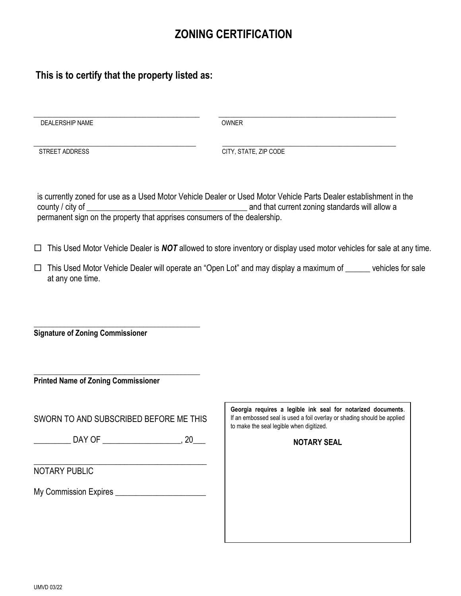# **ZONING CERTIFICATION**

## **This is to certify that the property listed as:**

DEALERSHIP NAME OWNER

 $\overline{\phantom{a}}$  , and the contribution of the contribution of the contribution of the contribution of the contribution of the contribution of the contribution of the contribution of the contribution of the contribution of the

\_\_\_\_\_\_\_\_\_\_\_\_\_\_\_\_\_\_\_\_\_\_\_\_\_\_\_\_\_\_\_\_\_\_\_\_\_\_\_\_\_\_\_ \_\_\_\_\_\_\_\_\_\_\_\_\_\_\_\_\_\_\_\_\_\_\_\_\_\_\_\_\_\_\_\_\_\_\_\_\_\_\_\_\_\_\_\_\_\_

STREET ADDRESS CITY, STATE, ZIP CODE

is currently zoned for use as a Used Motor Vehicle Dealer or Used Motor Vehicle Parts Dealer establishment in the county / city of \_\_\_\_\_\_\_\_\_\_\_\_\_\_\_\_\_\_\_\_\_\_\_\_\_\_\_\_\_\_\_\_\_\_\_\_\_\_\_ and that current zoning standards will allow a permanent sign on the property that apprises consumers of the dealership.

 $\Box$  This Used Motor Vehicle Dealer is **NOT** allowed to store inventory or display used motor vehicles for sale at any time.

 $\Box$  This Used Motor Vehicle Dealer will operate an "Open Lot" and may display a maximum of  $\_\_\_\_\_$  vehicles for sale at any one time.

\_\_\_\_\_\_\_\_\_\_\_\_\_\_\_\_\_\_\_\_\_\_\_\_\_\_\_\_\_\_\_\_\_\_\_\_\_\_\_\_\_\_\_\_ **Signature of Zoning Commissioner**

**Printed Name of Zoning Commissioner**

| SWORN TO AND SUBSCRIBED BEFORE ME THIS |    |
|----------------------------------------|----|
| DAY OF                                 | 20 |
|                                        |    |

\_\_\_\_\_\_\_\_\_\_\_\_\_\_\_\_\_\_\_\_\_\_\_\_\_\_\_\_\_\_\_\_\_\_\_\_\_\_\_\_\_\_\_\_

NOTARY PUBLIC

My Commission Expires \_\_\_\_\_\_\_\_\_\_\_\_\_\_\_\_\_\_\_\_\_\_

**Georgia requires a legible ink seal for notarized documents**. If an embossed seal is used a foil overlay or shading should be applied to make the seal legible when digitized.

**NOTARY SEAL**